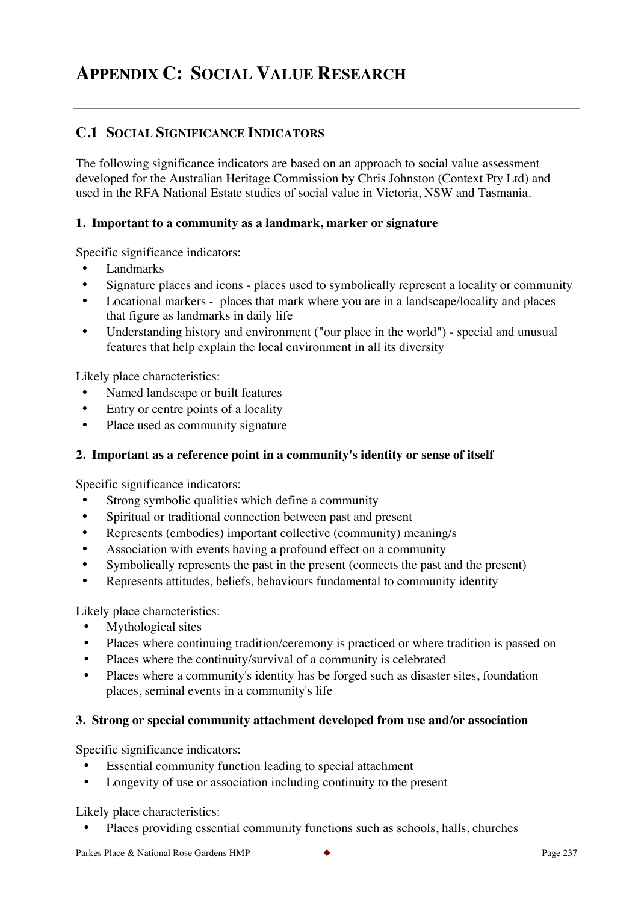# **APPENDIX C: SOCIAL VALUE RESEARCH**

# **C.1 SOCIAL SIGNIFICANCE INDICATORS**

The following significance indicators are based on an approach to social value assessment developed for the Australian Heritage Commission by Chris Johnston (Context Pty Ltd) and used in the RFA National Estate studies of social value in Victoria, NSW and Tasmania.

# **1. Important to a community as a landmark, marker or signature**

Specific significance indicators:

- Landmarks
- Signature places and icons places used to symbolically represent a locality or community
- Locational markers places that mark where you are in a landscape/locality and places that figure as landmarks in daily life
- Understanding history and environment ("our place in the world") special and unusual features that help explain the local environment in all its diversity

Likely place characteristics:

- Named landscape or built features
- Entry or centre points of a locality
- Place used as community signature

# **2. Important as a reference point in a community's identity or sense of itself**

Specific significance indicators:

- Strong symbolic qualities which define a community
- Spiritual or traditional connection between past and present
- Represents (embodies) important collective (community) meaning/s
- Association with events having a profound effect on a community
- Symbolically represents the past in the present (connects the past and the present)
- Represents attitudes, beliefs, behaviours fundamental to community identity

Likely place characteristics:

- Mythological sites
- Places where continuing tradition/ceremony is practiced or where tradition is passed on
- Places where the continuity/survival of a community is celebrated
- Places where a community's identity has be forged such as disaster sites, foundation places, seminal events in a community's life

# **3. Strong or special community attachment developed from use and/or association**

Specific significance indicators:

- Essential community function leading to special attachment
- Longevity of use or association including continuity to the present

Likely place characteristics:

• Places providing essential community functions such as schools, halls, churches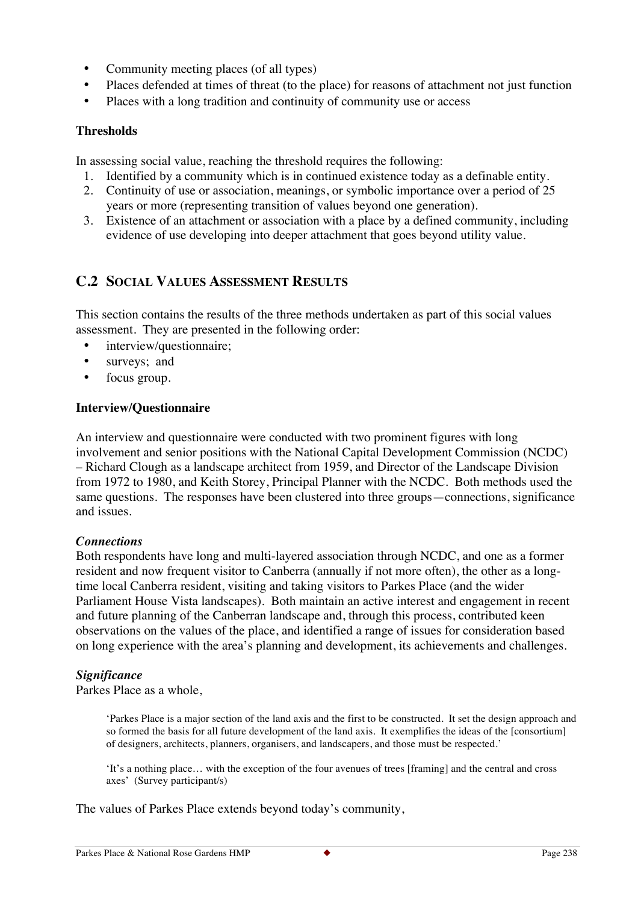- Community meeting places (of all types)
- Places defended at times of threat (to the place) for reasons of attachment not just function
- Places with a long tradition and continuity of community use or access

# **Thresholds**

In assessing social value, reaching the threshold requires the following:

- 1. Identified by a community which is in continued existence today as a definable entity.
- 2. Continuity of use or association, meanings, or symbolic importance over a period of 25 years or more (representing transition of values beyond one generation).
- 3. Existence of an attachment or association with a place by a defined community, including evidence of use developing into deeper attachment that goes beyond utility value.

# **C.2 SOCIAL VALUES ASSESSMENT RESULTS**

This section contains the results of the three methods undertaken as part of this social values assessment. They are presented in the following order:

- interview/questionnaire;
- surveys; and
- focus group.

### **Interview/Questionnaire**

An interview and questionnaire were conducted with two prominent figures with long involvement and senior positions with the National Capital Development Commission (NCDC) – Richard Clough as a landscape architect from 1959, and Director of the Landscape Division from 1972 to 1980, and Keith Storey, Principal Planner with the NCDC. Both methods used the same questions. The responses have been clustered into three groups—connections, significance and issues.

#### *Connections*

Both respondents have long and multi-layered association through NCDC, and one as a former resident and now frequent visitor to Canberra (annually if not more often), the other as a longtime local Canberra resident, visiting and taking visitors to Parkes Place (and the wider Parliament House Vista landscapes). Both maintain an active interest and engagement in recent and future planning of the Canberran landscape and, through this process, contributed keen observations on the values of the place, and identified a range of issues for consideration based on long experience with the area's planning and development, its achievements and challenges.

# *Significance*

Parkes Place as a whole,

'Parkes Place is a major section of the land axis and the first to be constructed. It set the design approach and so formed the basis for all future development of the land axis. It exemplifies the ideas of the [consortium] of designers, architects, planners, organisers, and landscapers, and those must be respected.'

'It's a nothing place… with the exception of the four avenues of trees [framing] and the central and cross axes' (Survey participant/s)

The values of Parkes Place extends beyond today's community,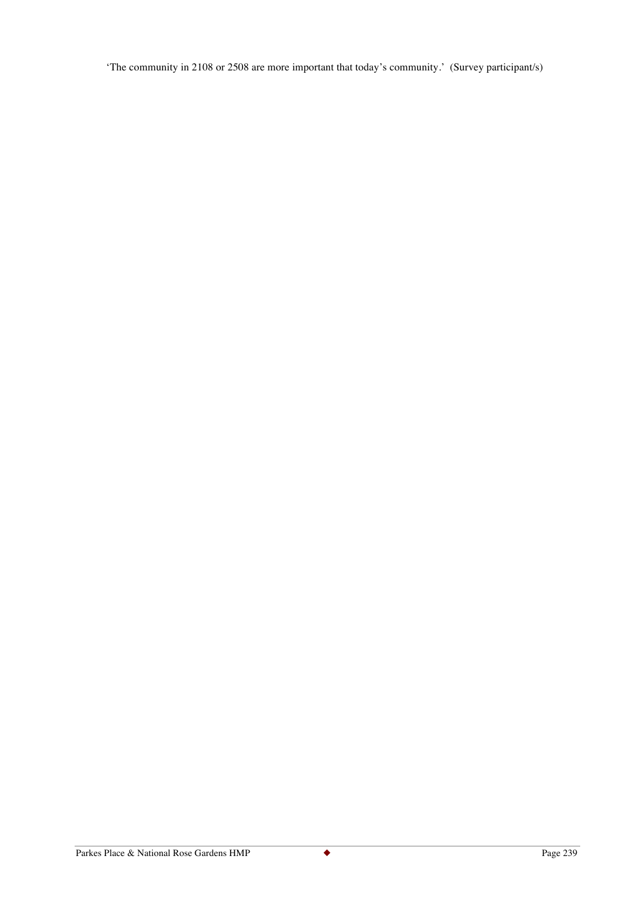'The community in 2108 or 2508 are more important that today's community.' (Survey participant/s)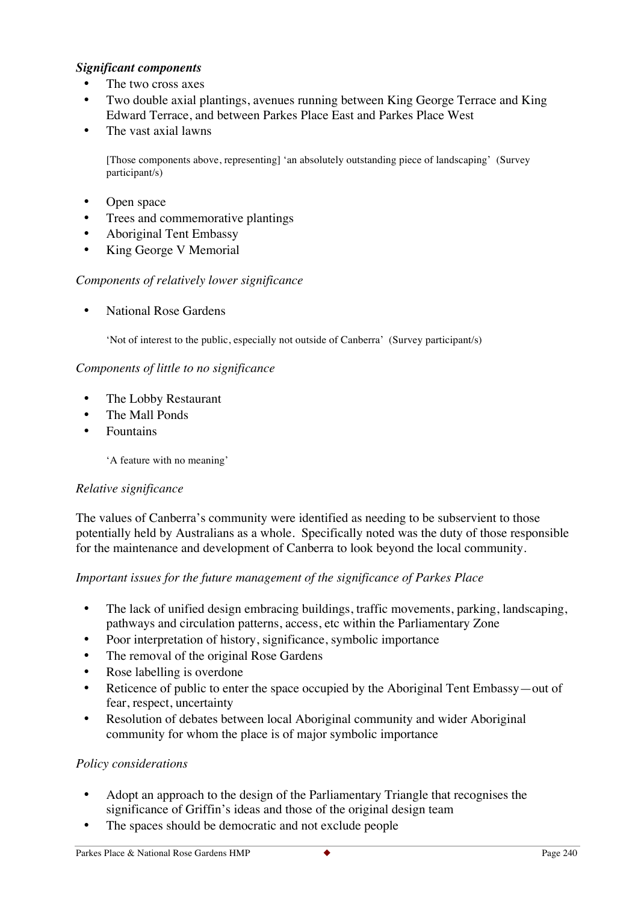# *Significant components*

- The two cross axes
- Two double axial plantings, avenues running between King George Terrace and King Edward Terrace, and between Parkes Place East and Parkes Place West
- The vast axial lawns

[Those components above, representing] 'an absolutely outstanding piece of landscaping' (Survey participant/s)

- Open space
- Trees and commemorative plantings
- Aboriginal Tent Embassy
- King George V Memorial

### *Components of relatively lower significance*

• National Rose Gardens

'Not of interest to the public, especially not outside of Canberra' (Survey participant/s)

### *Components of little to no significance*

- The Lobby Restaurant
- The Mall Ponds
- Fountains

'A feature with no meaning'

#### *Relative significance*

The values of Canberra's community were identified as needing to be subservient to those potentially held by Australians as a whole. Specifically noted was the duty of those responsible for the maintenance and development of Canberra to look beyond the local community.

# *Important issues for the future management of the significance of Parkes Place*

- The lack of unified design embracing buildings, traffic movements, parking, landscaping, pathways and circulation patterns, access, etc within the Parliamentary Zone
- Poor interpretation of history, significance, symbolic importance
- The removal of the original Rose Gardens
- Rose labelling is overdone
- Reticence of public to enter the space occupied by the Aboriginal Tent Embassy—out of fear, respect, uncertainty
- Resolution of debates between local Aboriginal community and wider Aboriginal community for whom the place is of major symbolic importance

#### *Policy considerations*

- Adopt an approach to the design of the Parliamentary Triangle that recognises the significance of Griffin's ideas and those of the original design team
- The spaces should be democratic and not exclude people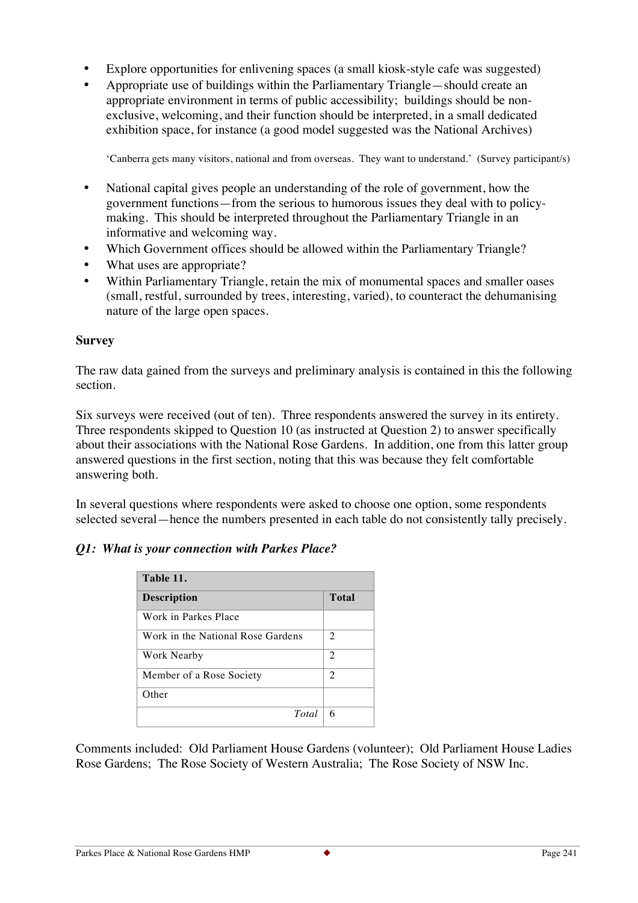- Explore opportunities for enlivening spaces (a small kiosk-style cafe was suggested)
- Appropriate use of buildings within the Parliamentary Triangle—should create an appropriate environment in terms of public accessibility; buildings should be nonexclusive, welcoming, and their function should be interpreted, in a small dedicated exhibition space, for instance (a good model suggested was the National Archives)

'Canberra gets many visitors, national and from overseas. They want to understand.' (Survey participant/s)

- National capital gives people an understanding of the role of government, how the government functions—from the serious to humorous issues they deal with to policymaking. This should be interpreted throughout the Parliamentary Triangle in an informative and welcoming way.
- Which Government offices should be allowed within the Parliamentary Triangle?
- What uses are appropriate?
- Within Parliamentary Triangle, retain the mix of monumental spaces and smaller oases (small, restful, surrounded by trees, interesting, varied), to counteract the dehumanising nature of the large open spaces.

# **Survey**

The raw data gained from the surveys and preliminary analysis is contained in this the following section.

Six surveys were received (out of ten). Three respondents answered the survey in its entirety. Three respondents skipped to Question 10 (as instructed at Question 2) to answer specifically about their associations with the National Rose Gardens. In addition, one from this latter group answered questions in the first section, noting that this was because they felt comfortable answering both.

In several questions where respondents were asked to choose one option, some respondents selected several—hence the numbers presented in each table do not consistently tally precisely.

# *Q1: What is your connection with Parkes Place?*

| Table 11.                         |                |
|-----------------------------------|----------------|
| <b>Description</b>                | Total          |
| Work in Parkes Place              |                |
| Work in the National Rose Gardens | $\overline{c}$ |
| Work Nearby                       | 2              |
| Member of a Rose Society          | 2              |
| Other                             |                |
| Total                             | 6              |

Comments included: Old Parliament House Gardens (volunteer); Old Parliament House Ladies Rose Gardens; The Rose Society of Western Australia; The Rose Society of NSW Inc.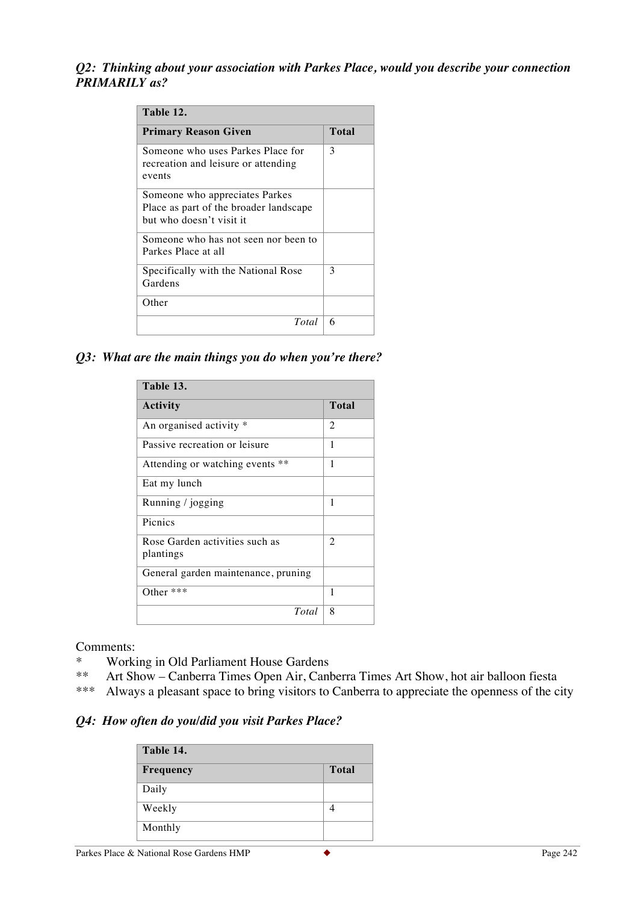## *Q2: Thinking about your association with Parkes Place, would you describe your connection PRIMARILY as?*

| Table 12.                                                                                            |       |
|------------------------------------------------------------------------------------------------------|-------|
| <b>Primary Reason Given</b>                                                                          | Total |
| Someone who uses Parkes Place for<br>recreation and leisure or attending<br>events                   | 3     |
| Someone who appreciates Parkes<br>Place as part of the broader landscape<br>but who doesn't visit it |       |
| Someone who has not seen nor been to<br>Parkes Place at all                                          |       |
| Specifically with the National Rose<br>Gardens                                                       | 3     |
| Other                                                                                                |       |
| Total                                                                                                | 6     |

#### *Q3: What are the main things you do when you're there?*

| Table 13.                                   |       |
|---------------------------------------------|-------|
| Activity                                    | Total |
| An organised activity *                     | 2     |
| Passive recreation or leisure               | 1     |
| Attending or watching events **             | 1     |
| Eat my lunch                                |       |
| Running / jogging                           | 1     |
| Pienies                                     |       |
| Rose Garden activities such as<br>plantings | 2     |
| General garden maintenance, pruning         |       |
| Other $***$                                 | 1     |
| Total                                       | 8     |

Comments:

- \* Working in Old Parliament House Gardens<br>\*\* Art Show Canberra Times Open Air Canl
- Art Show Canberra Times Open Air, Canberra Times Art Show, hot air balloon fiesta
- \*\*\* Always a pleasant space to bring visitors to Canberra to appreciate the openness of the city

#### *Q4: How often do you/did you visit Parkes Place?*

| Table 14. |              |
|-----------|--------------|
| Frequency | <b>Total</b> |
| Daily     |              |
| Weekly    |              |
| Monthly   |              |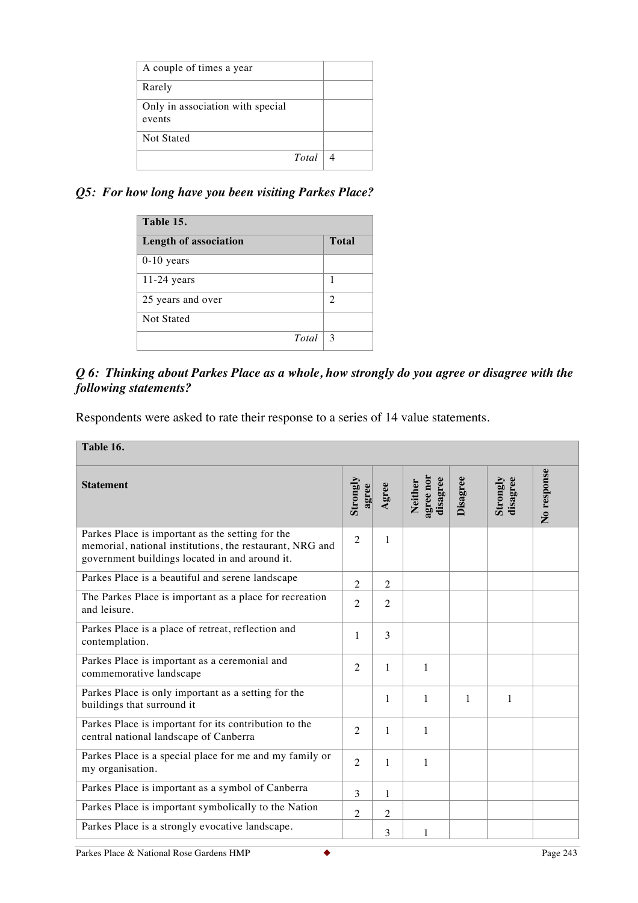| A couple of times a year         |  |
|----------------------------------|--|
| Rarely                           |  |
| Only in association with special |  |
| events                           |  |
| Not Stated                       |  |
| Total                            |  |

# *Q5: For how long have you been visiting Parkes Place?*

| Table 15.             |              |
|-----------------------|--------------|
| Length of association | <b>Total</b> |
| $0-10$ years          |              |
| $11-24$ years         | 1            |
| 25 years and over     | 2            |
| <b>Not Stated</b>     |              |
| Total                 | 3            |

# *Q 6: Thinking about Parkes Place as a whole, how strongly do you agree or disagree with the following statements?*

Respondents were asked to rate their response to a series of 14 value statements.

| Table 16.                                                                                                                                                      |                   |                |                                  |          |                      |             |
|----------------------------------------------------------------------------------------------------------------------------------------------------------------|-------------------|----------------|----------------------------------|----------|----------------------|-------------|
| <b>Statement</b>                                                                                                                                               | Strongly<br>agree | Agree          | agree nor<br>disagree<br>Neither | Disagree | Strongly<br>disagree | No response |
| Parkes Place is important as the setting for the<br>memorial, national institutions, the restaurant, NRG and<br>government buildings located in and around it. | $\overline{2}$    | 1              |                                  |          |                      |             |
| Parkes Place is a beautiful and serene landscape                                                                                                               | $\overline{2}$    | $\overline{2}$ |                                  |          |                      |             |
| The Parkes Place is important as a place for recreation<br>and leisure.                                                                                        | $\overline{2}$    | $\overline{2}$ |                                  |          |                      |             |
| Parkes Place is a place of retreat, reflection and<br>contemplation.                                                                                           | 1                 | 3              |                                  |          |                      |             |
| Parkes Place is important as a ceremonial and<br>commemorative landscape                                                                                       | $\overline{2}$    | $\mathbf{1}$   | 1                                |          |                      |             |
| Parkes Place is only important as a setting for the<br>buildings that surround it                                                                              |                   | 1              | 1                                | 1        | 1                    |             |
| Parkes Place is important for its contribution to the<br>central national landscape of Canberra                                                                | $\overline{2}$    | 1              | 1                                |          |                      |             |
| Parkes Place is a special place for me and my family or<br>my organisation.                                                                                    | $\overline{2}$    | 1              | 1                                |          |                      |             |
| Parkes Place is important as a symbol of Canberra                                                                                                              | 3                 | 1              |                                  |          |                      |             |
| Parkes Place is important symbolically to the Nation                                                                                                           | $\overline{2}$    | $\overline{2}$ |                                  |          |                      |             |
| Parkes Place is a strongly evocative landscape.                                                                                                                |                   | 3              | 1                                |          |                      |             |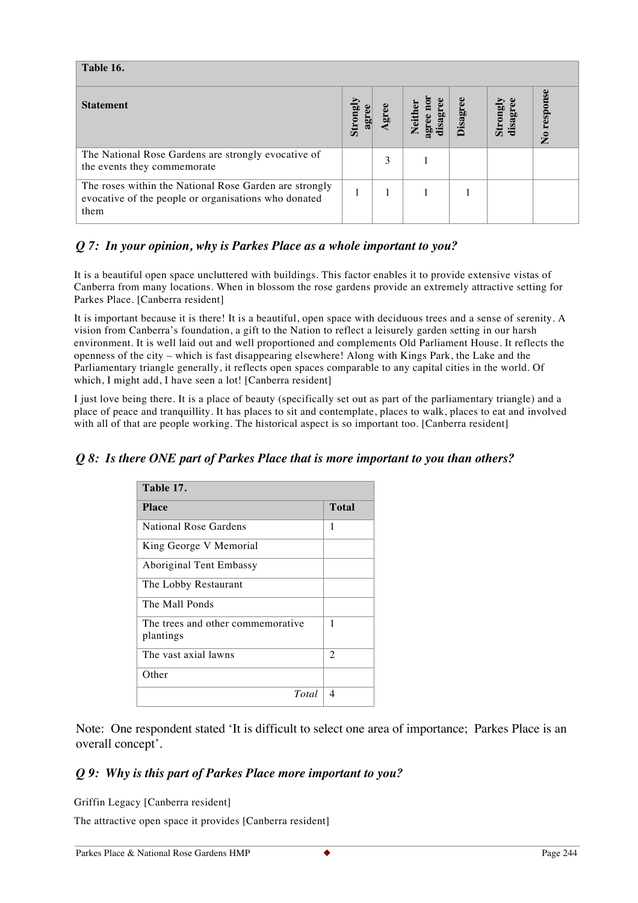| Table 16.                                                                                                              |                 |      |                                  |          |                     |             |
|------------------------------------------------------------------------------------------------------------------------|-----------------|------|----------------------------------|----------|---------------------|-------------|
| <b>Statement</b>                                                                                                       | Strong<br>agree | gree | agree nor<br>disagree<br>Neither | Disagree | disagree<br>Strongl | No response |
| The National Rose Gardens are strongly evocative of<br>the events they commemorate                                     |                 | 3    |                                  |          |                     |             |
| The roses within the National Rose Garden are strongly<br>evocative of the people or organisations who donated<br>them |                 |      |                                  |          |                     |             |

# *Q 7: In your opinion, why is Parkes Place as a whole important to you?*

It is a beautiful open space uncluttered with buildings. This factor enables it to provide extensive vistas of Canberra from many locations. When in blossom the rose gardens provide an extremely attractive setting for Parkes Place. [Canberra resident]

It is important because it is there! It is a beautiful, open space with deciduous trees and a sense of serenity. A vision from Canberra's foundation, a gift to the Nation to reflect a leisurely garden setting in our harsh environment. It is well laid out and well proportioned and complements Old Parliament House. It reflects the openness of the city – which is fast disappearing elsewhere! Along with Kings Park, the Lake and the Parliamentary triangle generally, it reflects open spaces comparable to any capital cities in the world. Of which, I might add, I have seen a lot! [Canberra resident]

I just love being there. It is a place of beauty (specifically set out as part of the parliamentary triangle) and a place of peace and tranquillity. It has places to sit and contemplate, places to walk, places to eat and involved with all of that are people working. The historical aspect is so important too. [Canberra resident]

#### *Q 8: Is there ONE part of Parkes Place that is more important to you than others?*

| Table 17.                                      |                |
|------------------------------------------------|----------------|
| <b>Place</b>                                   | Total          |
| National Rose Gardens                          | 1              |
| King George V Memorial                         |                |
| Aboriginal Tent Embassy                        |                |
| The Lobby Restaurant                           |                |
| The Mall Ponds                                 |                |
| The trees and other commemorative<br>plantings | 1              |
| The vast axial lawns                           | $\overline{c}$ |
| Other                                          |                |
| Total                                          | 4              |

Note: One respondent stated 'It is difficult to select one area of importance; Parkes Place is an overall concept'.

#### *Q 9: Why is this part of Parkes Place more important to you?*

Griffin Legacy [Canberra resident]

The attractive open space it provides [Canberra resident]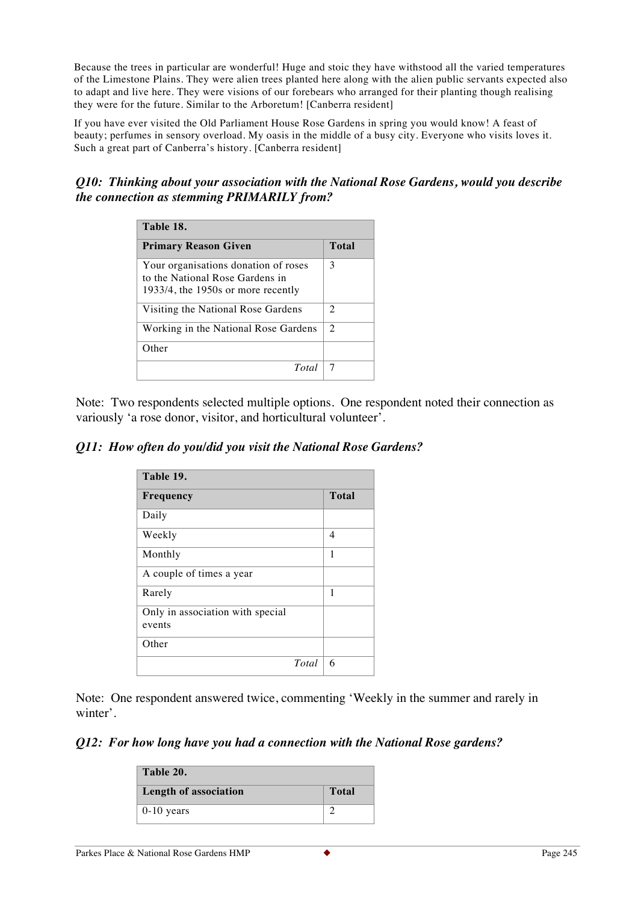Because the trees in particular are wonderful! Huge and stoic they have withstood all the varied temperatures of the Limestone Plains. They were alien trees planted here along with the alien public servants expected also to adapt and live here. They were visions of our forebears who arranged for their planting though realising they were for the future. Similar to the Arboretum! [Canberra resident]

If you have ever visited the Old Parliament House Rose Gardens in spring you would know! A feast of beauty; perfumes in sensory overload. My oasis in the middle of a busy city. Everyone who visits loves it. Such a great part of Canberra's history. [Canberra resident]

# *Q10: Thinking about your association with the National Rose Gardens, would you describe the connection as stemming PRIMARILY from?*

| Table 18.                                                                                                        |                |
|------------------------------------------------------------------------------------------------------------------|----------------|
| <b>Primary Reason Given</b>                                                                                      | Total          |
| Your organisations donation of roses<br>to the National Rose Gardens in<br>$1933/4$ , the 1950s or more recently | 3              |
| Visiting the National Rose Gardens                                                                               | $\overline{c}$ |
| Working in the National Rose Gardens                                                                             | $\mathcal{L}$  |
| Other                                                                                                            |                |
| Total                                                                                                            |                |

Note: Two respondents selected multiple options. One respondent noted their connection as variously 'a rose donor, visitor, and horticultural volunteer'.

## *Q11: How often do you/did you visit the National Rose Gardens?*

| Table 19.                        |              |
|----------------------------------|--------------|
| Frequency                        | <b>Total</b> |
| Daily                            |              |
| Weekly                           | 4            |
| Monthly                          | 1            |
| A couple of times a year         |              |
| Rarely                           | 1            |
| Only in association with special |              |
| events                           |              |
| Other                            |              |
| Total                            | 6            |

Note: One respondent answered twice, commenting 'Weekly in the summer and rarely in winter'.

#### *Q12: For how long have you had a connection with the National Rose gardens?*

| Table 20.             |              |
|-----------------------|--------------|
| Length of association | <b>Total</b> |
| $0-10$ years          |              |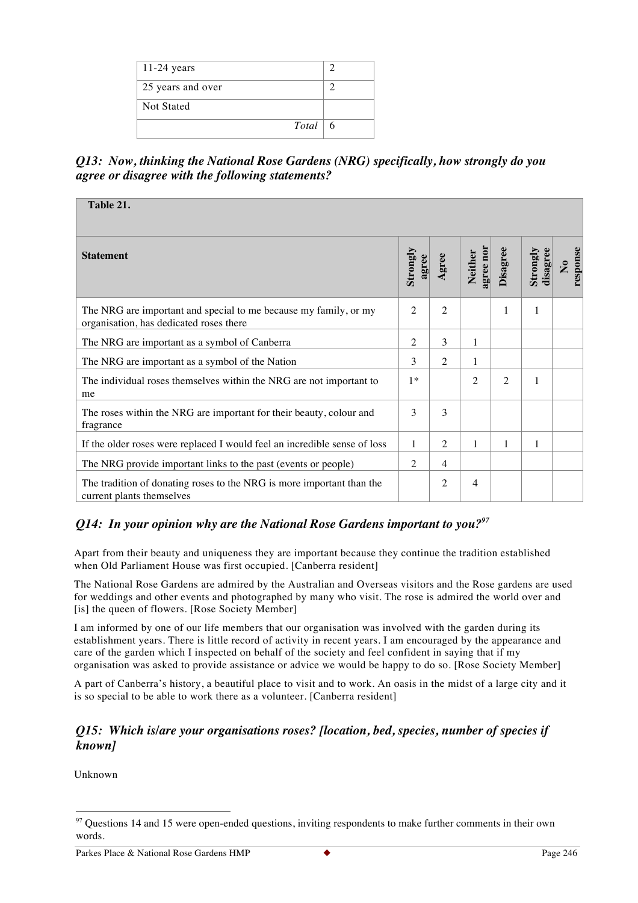| $11-24$ years     |    |
|-------------------|----|
| 25 years and over |    |
| <b>Not Stated</b> |    |
| $Total \vert$     | -6 |

*Q13: Now, thinking the National Rose Gardens (NRG) specifically, how strongly do you agree or disagree with the following statements?*

| Table 21.                                                                                                   |                   |                |                      |                |                      |                          |
|-------------------------------------------------------------------------------------------------------------|-------------------|----------------|----------------------|----------------|----------------------|--------------------------|
| <b>Statement</b>                                                                                            | Strongly<br>agree | Agree          | agree nor<br>Neither | Disagree       | Strongly<br>disagree | response<br>$\mathbf{S}$ |
| The NRG are important and special to me because my family, or my<br>organisation, has dedicated roses there | $\overline{2}$    | $\overline{2}$ |                      | 1              | 1                    |                          |
| The NRG are important as a symbol of Canberra                                                               | $\overline{2}$    | 3              | 1                    |                |                      |                          |
| The NRG are important as a symbol of the Nation                                                             | 3                 | 2              | 1                    |                |                      |                          |
| The individual roses themselves within the NRG are not important to<br>me                                   | $1*$              |                | $\overline{c}$       | $\overline{2}$ |                      |                          |
| The roses within the NRG are important for their beauty, colour and<br>fragrance                            | 3                 | 3              |                      |                |                      |                          |
| If the older roses were replaced I would feel an incredible sense of loss                                   | 1                 | $\overline{2}$ | 1                    | 1              |                      |                          |
| The NRG provide important links to the past (events or people)                                              | 2                 | 4              |                      |                |                      |                          |
| The tradition of donating roses to the NRG is more important than the<br>current plants themselves          |                   | $\overline{2}$ | $\overline{4}$       |                |                      |                          |

# *Q14: In your opinion why are the National Rose Gardens important to you?<sup>97</sup>*

Apart from their beauty and uniqueness they are important because they continue the tradition established when Old Parliament House was first occupied. [Canberra resident]

The National Rose Gardens are admired by the Australian and Overseas visitors and the Rose gardens are used for weddings and other events and photographed by many who visit. The rose is admired the world over and [is] the queen of flowers. [Rose Society Member]

I am informed by one of our life members that our organisation was involved with the garden during its establishment years. There is little record of activity in recent years. I am encouraged by the appearance and care of the garden which I inspected on behalf of the society and feel confident in saying that if my organisation was asked to provide assistance or advice we would be happy to do so. [Rose Society Member]

A part of Canberra's history, a beautiful place to visit and to work. An oasis in the midst of a large city and it is so special to be able to work there as a volunteer. [Canberra resident]

#### *Q15: Which is/are your organisations roses? [location, bed, species, number of species if known]*

Unknown

 $97$  Questions 14 and 15 were open-ended questions, inviting respondents to make further comments in their own words.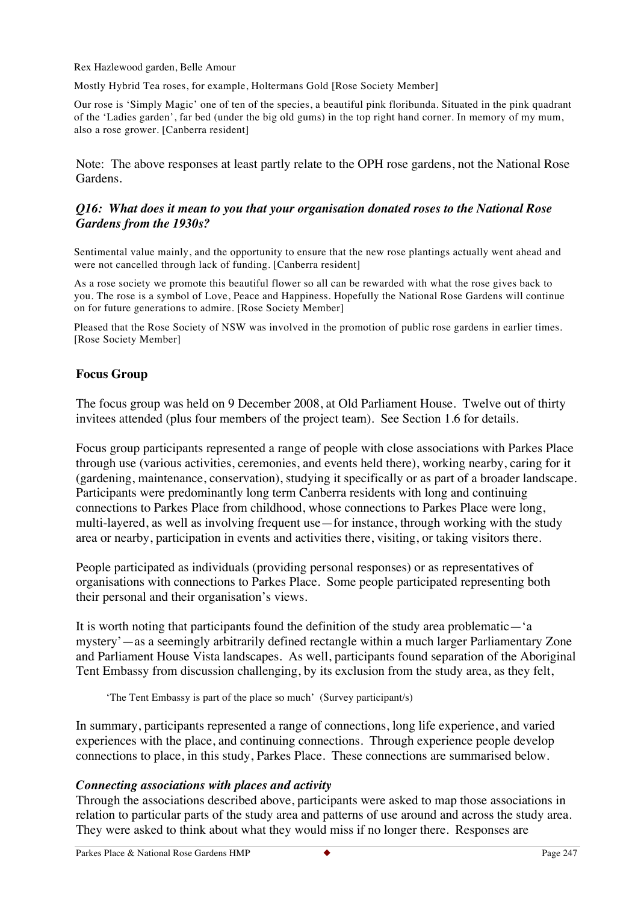Rex Hazlewood garden, Belle Amour

Mostly Hybrid Tea roses, for example, Holtermans Gold [Rose Society Member]

Our rose is 'Simply Magic' one of ten of the species, a beautiful pink floribunda. Situated in the pink quadrant of the 'Ladies garden', far bed (under the big old gums) in the top right hand corner. In memory of my mum, also a rose grower. [Canberra resident]

Note: The above responses at least partly relate to the OPH rose gardens, not the National Rose Gardens.

#### *Q16: What does it mean to you that your organisation donated roses to the National Rose Gardens from the 1930s?*

Sentimental value mainly, and the opportunity to ensure that the new rose plantings actually went ahead and were not cancelled through lack of funding. [Canberra resident]

As a rose society we promote this beautiful flower so all can be rewarded with what the rose gives back to you. The rose is a symbol of Love, Peace and Happiness. Hopefully the National Rose Gardens will continue on for future generations to admire. [Rose Society Member]

Pleased that the Rose Society of NSW was involved in the promotion of public rose gardens in earlier times. [Rose Society Member]

### **Focus Group**

The focus group was held on 9 December 2008, at Old Parliament House. Twelve out of thirty invitees attended (plus four members of the project team). See Section 1.6 for details.

Focus group participants represented a range of people with close associations with Parkes Place through use (various activities, ceremonies, and events held there), working nearby, caring for it (gardening, maintenance, conservation), studying it specifically or as part of a broader landscape. Participants were predominantly long term Canberra residents with long and continuing connections to Parkes Place from childhood, whose connections to Parkes Place were long, multi-layered, as well as involving frequent use—for instance, through working with the study area or nearby, participation in events and activities there, visiting, or taking visitors there.

People participated as individuals (providing personal responses) or as representatives of organisations with connections to Parkes Place. Some people participated representing both their personal and their organisation's views.

It is worth noting that participants found the definition of the study area problematic—'a mystery'—as a seemingly arbitrarily defined rectangle within a much larger Parliamentary Zone and Parliament House Vista landscapes. As well, participants found separation of the Aboriginal Tent Embassy from discussion challenging, by its exclusion from the study area, as they felt,

'The Tent Embassy is part of the place so much' (Survey participant/s)

In summary, participants represented a range of connections, long life experience, and varied experiences with the place, and continuing connections. Through experience people develop connections to place, in this study, Parkes Place. These connections are summarised below.

#### *Connecting associations with places and activity*

Through the associations described above, participants were asked to map those associations in relation to particular parts of the study area and patterns of use around and across the study area. They were asked to think about what they would miss if no longer there. Responses are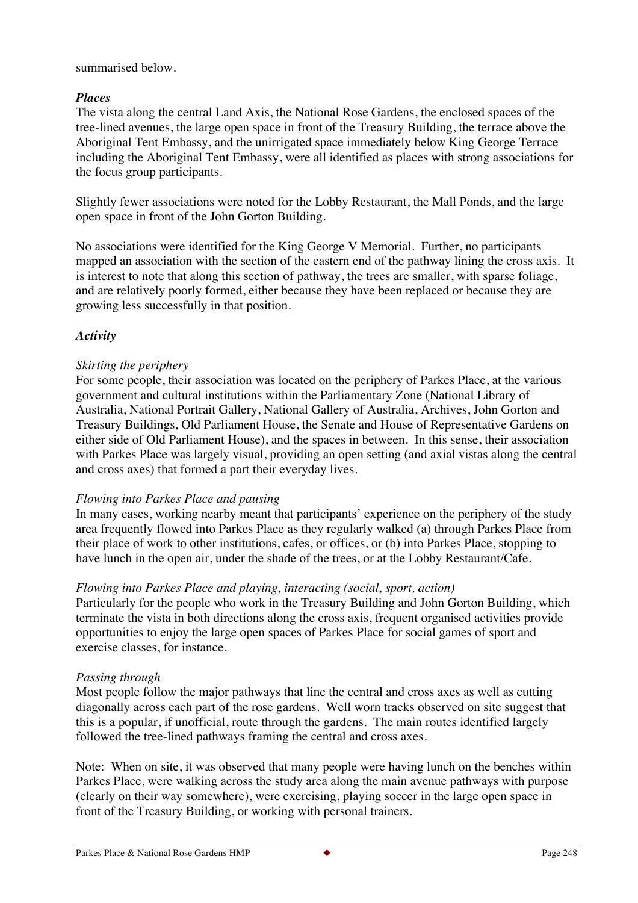## summarised below.

# *Places*

The vista along the central Land Axis, the National Rose Gardens, the enclosed spaces of the tree-lined avenues, the large open space in front of the Treasury Building, the terrace above the Aboriginal Tent Embassy, and the unirrigated space immediately below King George Terrace including the Aboriginal Tent Embassy, were all identified as places with strong associations for the focus group participants.

Slightly fewer associations were noted for the Lobby Restaurant, the Mall Ponds, and the large open space in front of the John Gorton Building.

No associations were identified for the King George V Memorial. Further, no participants mapped an association with the section of the eastern end of the pathway lining the cross axis. It is interest to note that along this section of pathway, the trees are smaller, with sparse foliage, and are relatively poorly formed, either because they have been replaced or because they are growing less successfully in that position.

# *Activity*

# *Skirting the periphery*

For some people, their association was located on the periphery of Parkes Place, at the various government and cultural institutions within the Parliamentary Zone (National Library of Australia, National Portrait Gallery, National Gallery of Australia, Archives, John Gorton and Treasury Buildings, Old Parliament House, the Senate and House of Representative Gardens on either side of Old Parliament House), and the spaces in between. In this sense, their association with Parkes Place was largely visual, providing an open setting (and axial vistas along the central and cross axes) that formed a part their everyday lives.

# *Flowing into Parkes Place and pausing*

In many cases, working nearby meant that participants' experience on the periphery of the study area frequently flowed into Parkes Place as they regularly walked (a) through Parkes Place from their place of work to other institutions, cafes, or offices, or (b) into Parkes Place, stopping to have lunch in the open air, under the shade of the trees, or at the Lobby Restaurant/Cafe.

# *Flowing into Parkes Place and playing, interacting (social, sport, action)*

Particularly for the people who work in the Treasury Building and John Gorton Building, which terminate the vista in both directions along the cross axis, frequent organised activities provide opportunities to enjoy the large open spaces of Parkes Place for social games of sport and exercise classes, for instance.

# *Passing through*

Most people follow the major pathways that line the central and cross axes as well as cutting diagonally across each part of the rose gardens. Well worn tracks observed on site suggest that this is a popular, if unofficial, route through the gardens. The main routes identified largely followed the tree-lined pathways framing the central and cross axes.

Note: When on site, it was observed that many people were having lunch on the benches within Parkes Place, were walking across the study area along the main avenue pathways with purpose (clearly on their way somewhere), were exercising, playing soccer in the large open space in front of the Treasury Building, or working with personal trainers.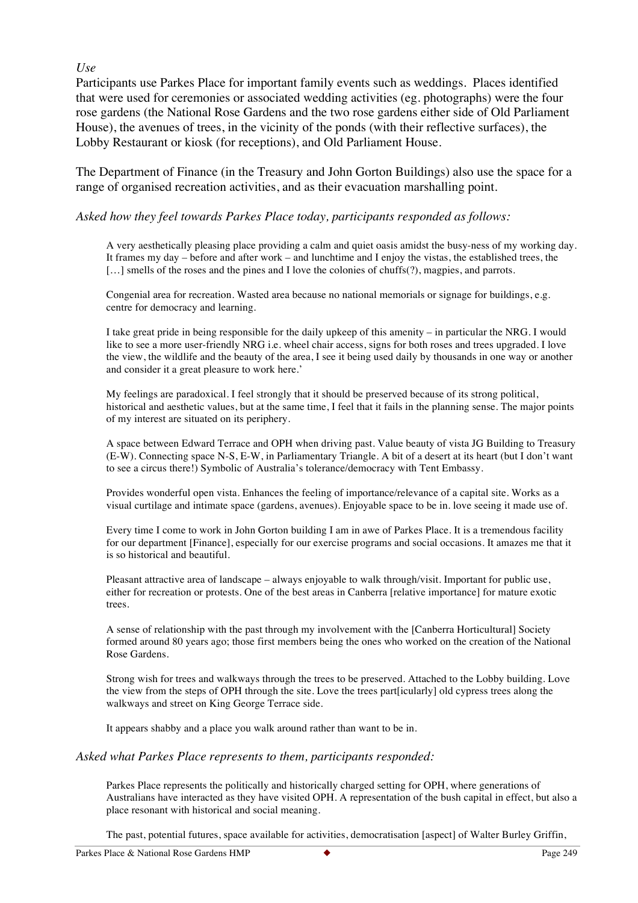### *Use*

Participants use Parkes Place for important family events such as weddings. Places identified that were used for ceremonies or associated wedding activities (eg. photographs) were the four rose gardens (the National Rose Gardens and the two rose gardens either side of Old Parliament House), the avenues of trees, in the vicinity of the ponds (with their reflective surfaces), the Lobby Restaurant or kiosk (for receptions), and Old Parliament House.

The Department of Finance (in the Treasury and John Gorton Buildings) also use the space for a range of organised recreation activities, and as their evacuation marshalling point.

#### *Asked how they feel towards Parkes Place today, participants responded as follows:*

A very aesthetically pleasing place providing a calm and quiet oasis amidst the busy-ness of my working day. It frames my day – before and after work – and lunchtime and I enjoy the vistas, the established trees, the [...] smells of the roses and the pines and I love the colonies of chuffs(?), magpies, and parrots.

Congenial area for recreation. Wasted area because no national memorials or signage for buildings, e.g. centre for democracy and learning.

I take great pride in being responsible for the daily upkeep of this amenity – in particular the NRG. I would like to see a more user-friendly NRG i.e. wheel chair access, signs for both roses and trees upgraded. I love the view, the wildlife and the beauty of the area, I see it being used daily by thousands in one way or another and consider it a great pleasure to work here.'

My feelings are paradoxical. I feel strongly that it should be preserved because of its strong political, historical and aesthetic values, but at the same time, I feel that it fails in the planning sense. The major points of my interest are situated on its periphery.

A space between Edward Terrace and OPH when driving past. Value beauty of vista JG Building to Treasury (E-W). Connecting space N-S, E-W, in Parliamentary Triangle. A bit of a desert at its heart (but I don't want to see a circus there!) Symbolic of Australia's tolerance/democracy with Tent Embassy.

Provides wonderful open vista. Enhances the feeling of importance/relevance of a capital site. Works as a visual curtilage and intimate space (gardens, avenues). Enjoyable space to be in. love seeing it made use of.

Every time I come to work in John Gorton building I am in awe of Parkes Place. It is a tremendous facility for our department [Finance], especially for our exercise programs and social occasions. It amazes me that it is so historical and beautiful.

Pleasant attractive area of landscape – always enjoyable to walk through/visit. Important for public use, either for recreation or protests. One of the best areas in Canberra [relative importance] for mature exotic trees.

A sense of relationship with the past through my involvement with the [Canberra Horticultural] Society formed around 80 years ago; those first members being the ones who worked on the creation of the National Rose Gardens.

Strong wish for trees and walkways through the trees to be preserved. Attached to the Lobby building. Love the view from the steps of OPH through the site. Love the trees part[icularly] old cypress trees along the walkways and street on King George Terrace side.

It appears shabby and a place you walk around rather than want to be in.

#### *Asked what Parkes Place represents to them, participants responded:*

Parkes Place represents the politically and historically charged setting for OPH, where generations of Australians have interacted as they have visited OPH. A representation of the bush capital in effect, but also a place resonant with historical and social meaning.

The past, potential futures, space available for activities, democratisation [aspect] of Walter Burley Griffin,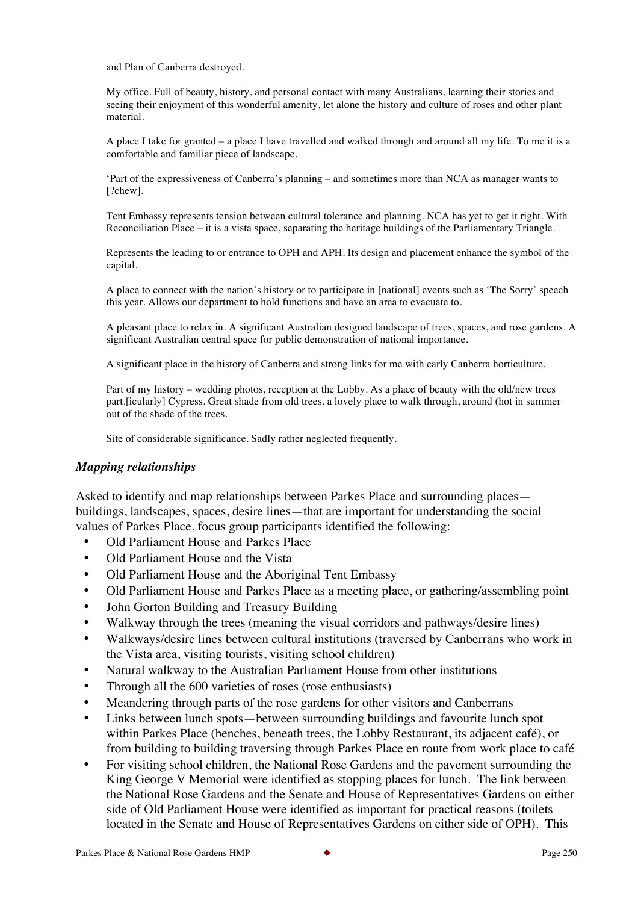and Plan of Canberra destroyed.

My office. Full of beauty, history, and personal contact with many Australians, learning their stories and seeing their enjoyment of this wonderful amenity, let alone the history and culture of roses and other plant material.

A place I take for granted – a place I have travelled and walked through and around all my life. To me it is a comfortable and familiar piece of landscape.

'Part of the expressiveness of Canberra's planning – and sometimes more than NCA as manager wants to [?chew].

Tent Embassy represents tension between cultural tolerance and planning. NCA has yet to get it right. With Reconciliation Place – it is a vista space, separating the heritage buildings of the Parliamentary Triangle.

Represents the leading to or entrance to OPH and APH. Its design and placement enhance the symbol of the capital.

A place to connect with the nation's history or to participate in [national] events such as 'The Sorry' speech this year. Allows our department to hold functions and have an area to evacuate to.

A pleasant place to relax in. A significant Australian designed landscape of trees, spaces, and rose gardens. A significant Australian central space for public demonstration of national importance.

A significant place in the history of Canberra and strong links for me with early Canberra horticulture.

Part of my history – wedding photos, reception at the Lobby. As a place of beauty with the old/new trees part.[icularly] Cypress. Great shade from old trees. a lovely place to walk through, around (hot in summer out of the shade of the trees.

Site of considerable significance. Sadly rather neglected frequently.

#### *Mapping relationships*

Asked to identify and map relationships between Parkes Place and surrounding places buildings, landscapes, spaces, desire lines—that are important for understanding the social values of Parkes Place, focus group participants identified the following:

- Old Parliament House and Parkes Place
- Old Parliament House and the Vista
- Old Parliament House and the Aboriginal Tent Embassy
- Old Parliament House and Parkes Place as a meeting place, or gathering/assembling point
- John Gorton Building and Treasury Building
- Walkway through the trees (meaning the visual corridors and pathways/desire lines)
- Walkways/desire lines between cultural institutions (traversed by Canberrans who work in the Vista area, visiting tourists, visiting school children)
- Natural walkway to the Australian Parliament House from other institutions
- Through all the 600 varieties of roses (rose enthusiasts)
- Meandering through parts of the rose gardens for other visitors and Canberrans
- Links between lunch spots—between surrounding buildings and favourite lunch spot within Parkes Place (benches, beneath trees, the Lobby Restaurant, its adjacent café), or from building to building traversing through Parkes Place en route from work place to café
- For visiting school children, the National Rose Gardens and the pavement surrounding the King George V Memorial were identified as stopping places for lunch. The link between the National Rose Gardens and the Senate and House of Representatives Gardens on either side of Old Parliament House were identified as important for practical reasons (toilets located in the Senate and House of Representatives Gardens on either side of OPH). This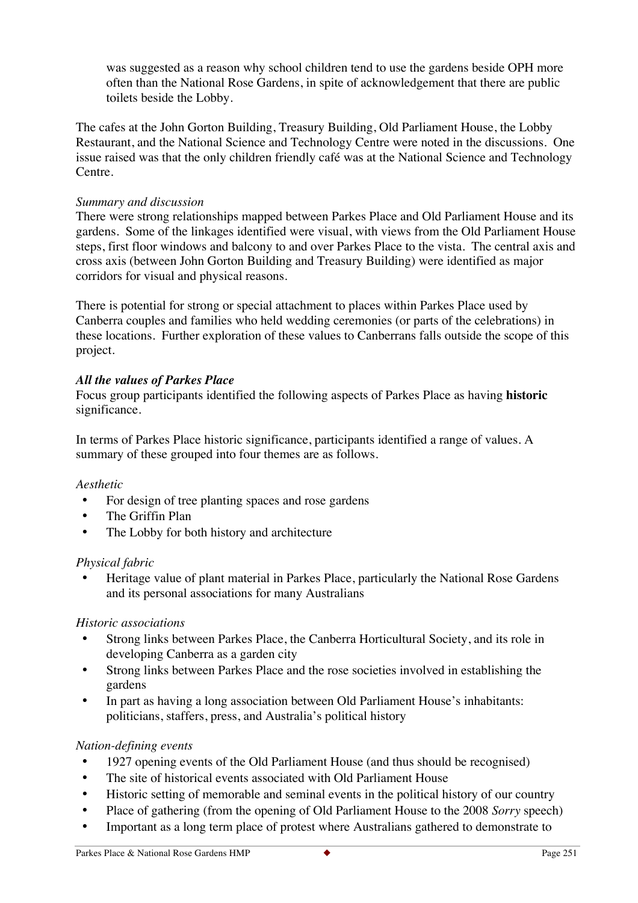was suggested as a reason why school children tend to use the gardens beside OPH more often than the National Rose Gardens, in spite of acknowledgement that there are public toilets beside the Lobby.

The cafes at the John Gorton Building, Treasury Building, Old Parliament House, the Lobby Restaurant, and the National Science and Technology Centre were noted in the discussions. One issue raised was that the only children friendly café was at the National Science and Technology Centre.

## *Summary and discussion*

There were strong relationships mapped between Parkes Place and Old Parliament House and its gardens. Some of the linkages identified were visual, with views from the Old Parliament House steps, first floor windows and balcony to and over Parkes Place to the vista. The central axis and cross axis (between John Gorton Building and Treasury Building) were identified as major corridors for visual and physical reasons.

There is potential for strong or special attachment to places within Parkes Place used by Canberra couples and families who held wedding ceremonies (or parts of the celebrations) in these locations. Further exploration of these values to Canberrans falls outside the scope of this project.

# *All the values of Parkes Place*

Focus group participants identified the following aspects of Parkes Place as having **historic**  significance.

In terms of Parkes Place historic significance, participants identified a range of values. A summary of these grouped into four themes are as follows.

#### *Aesthetic*

- For design of tree planting spaces and rose gardens
- The Griffin Plan
- The Lobby for both history and architecture

#### *Physical fabric*

• Heritage value of plant material in Parkes Place, particularly the National Rose Gardens and its personal associations for many Australians

#### *Historic associations*

- Strong links between Parkes Place, the Canberra Horticultural Society, and its role in developing Canberra as a garden city
- Strong links between Parkes Place and the rose societies involved in establishing the gardens
- In part as having a long association between Old Parliament House's inhabitants: politicians, staffers, press, and Australia's political history

# *Nation-defining events*

- 1927 opening events of the Old Parliament House (and thus should be recognised)
- The site of historical events associated with Old Parliament House
- Historic setting of memorable and seminal events in the political history of our country
- Place of gathering (from the opening of Old Parliament House to the 2008 *Sorry* speech)
- Important as a long term place of protest where Australians gathered to demonstrate to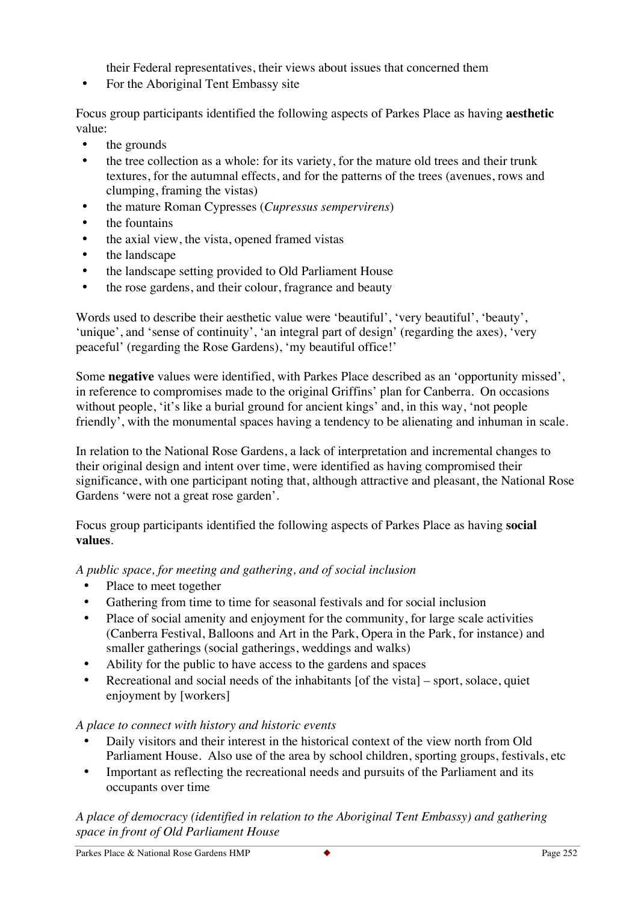their Federal representatives, their views about issues that concerned them

• For the Aboriginal Tent Embassy site

Focus group participants identified the following aspects of Parkes Place as having **aesthetic** value:

- the grounds
- the tree collection as a whole: for its variety, for the mature old trees and their trunk textures, for the autumnal effects, and for the patterns of the trees (avenues, rows and clumping, framing the vistas)
- the mature Roman Cypresses (*Cupressus sempervirens*)
- the fountains
- the axial view, the vista, opened framed vistas
- the landscape
- the landscape setting provided to Old Parliament House
- the rose gardens, and their colour, fragrance and beauty

Words used to describe their aesthetic value were 'beautiful', 'very beautiful', 'beauty', 'unique', and 'sense of continuity', 'an integral part of design' (regarding the axes), 'very peaceful' (regarding the Rose Gardens), 'my beautiful office!'

Some **negative** values were identified, with Parkes Place described as an 'opportunity missed', in reference to compromises made to the original Griffins' plan for Canberra. On occasions without people, 'it's like a burial ground for ancient kings' and, in this way, 'not people friendly', with the monumental spaces having a tendency to be alienating and inhuman in scale.

In relation to the National Rose Gardens, a lack of interpretation and incremental changes to their original design and intent over time, were identified as having compromised their significance, with one participant noting that, although attractive and pleasant, the National Rose Gardens 'were not a great rose garden'.

Focus group participants identified the following aspects of Parkes Place as having **social values**.

*A public space, for meeting and gathering, and of social inclusion*

- Place to meet together
- Gathering from time to time for seasonal festivals and for social inclusion
- Place of social amenity and enjoyment for the community, for large scale activities (Canberra Festival, Balloons and Art in the Park, Opera in the Park, for instance) and smaller gatherings (social gatherings, weddings and walks)
- Ability for the public to have access to the gardens and spaces
- Recreational and social needs of the inhabitants [of the vista] sport, solace, quiet enjoyment by [workers]

# *A place to connect with history and historic events*

- Daily visitors and their interest in the historical context of the view north from Old Parliament House. Also use of the area by school children, sporting groups, festivals, etc
- Important as reflecting the recreational needs and pursuits of the Parliament and its occupants over time

*A place of democracy (identified in relation to the Aboriginal Tent Embassy) and gathering space in front of Old Parliament House*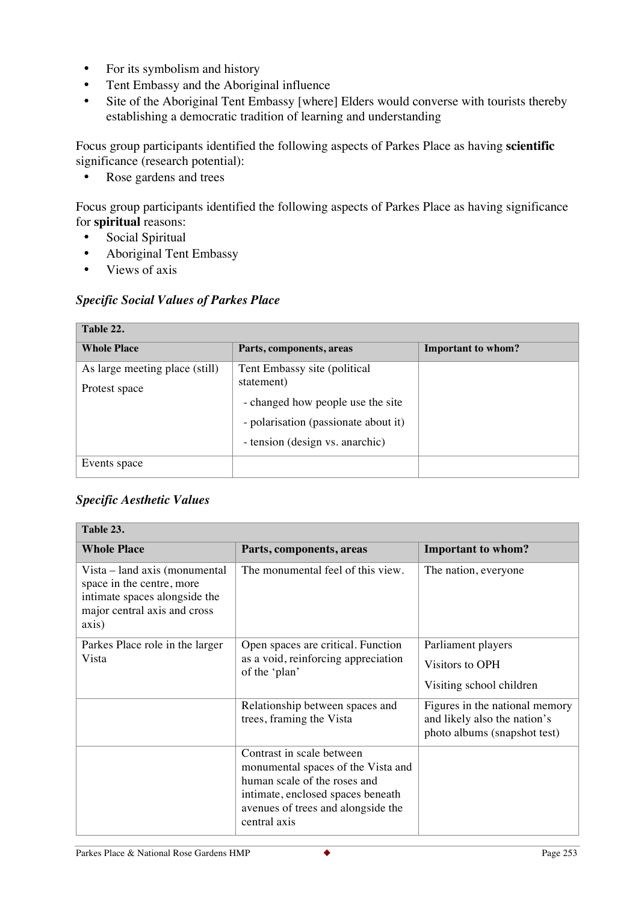- For its symbolism and history
- Tent Embassy and the Aboriginal influence
- Site of the Aboriginal Tent Embassy [where] Elders would converse with tourists thereby establishing a democratic tradition of learning and understanding

Focus group participants identified the following aspects of Parkes Place as having **scientific**  significance (research potential):

• Rose gardens and trees

Focus group participants identified the following aspects of Parkes Place as having significance for **spiritual** reasons:

- Social Spiritual
- Aboriginal Tent Embassy
- Views of axis

# *Specific Social Values of Parkes Place*

| Table 22.                      |                                      |                    |  |  |
|--------------------------------|--------------------------------------|--------------------|--|--|
| <b>Whole Place</b>             | Parts, components, areas             | Important to whom? |  |  |
| As large meeting place (still) | Tent Embassy site (political         |                    |  |  |
| Protest space                  | statement)                           |                    |  |  |
|                                | - changed how people use the site    |                    |  |  |
|                                | - polarisation (passionate about it) |                    |  |  |
|                                | - tension (design vs. anarchic)      |                    |  |  |
| Events space                   |                                      |                    |  |  |

# *Specific Aesthetic Values*

| Table 23.                                                                                                                            |                                                                                                                                                                                            |                                                                                                |  |  |
|--------------------------------------------------------------------------------------------------------------------------------------|--------------------------------------------------------------------------------------------------------------------------------------------------------------------------------------------|------------------------------------------------------------------------------------------------|--|--|
| <b>Whole Place</b>                                                                                                                   | Parts, components, areas                                                                                                                                                                   | <b>Important to whom?</b>                                                                      |  |  |
| Vista – land axis (monumental<br>space in the centre, more<br>intimate spaces alongside the<br>major central axis and cross<br>axis) | The monumental feel of this view.                                                                                                                                                          | The nation, everyone                                                                           |  |  |
| Parkes Place role in the larger<br>Vista                                                                                             | Open spaces are critical. Function<br>as a void, reinforcing appreciation<br>of the 'plan'                                                                                                 | Parliament players<br>Visitors to OPH<br>Visiting school children                              |  |  |
|                                                                                                                                      | Relationship between spaces and<br>trees, framing the Vista                                                                                                                                | Figures in the national memory<br>and likely also the nation's<br>photo albums (snapshot test) |  |  |
|                                                                                                                                      | Contrast in scale between<br>monumental spaces of the Vista and<br>human scale of the roses and<br>intimate, enclosed spaces beneath<br>avenues of trees and alongside the<br>central axis |                                                                                                |  |  |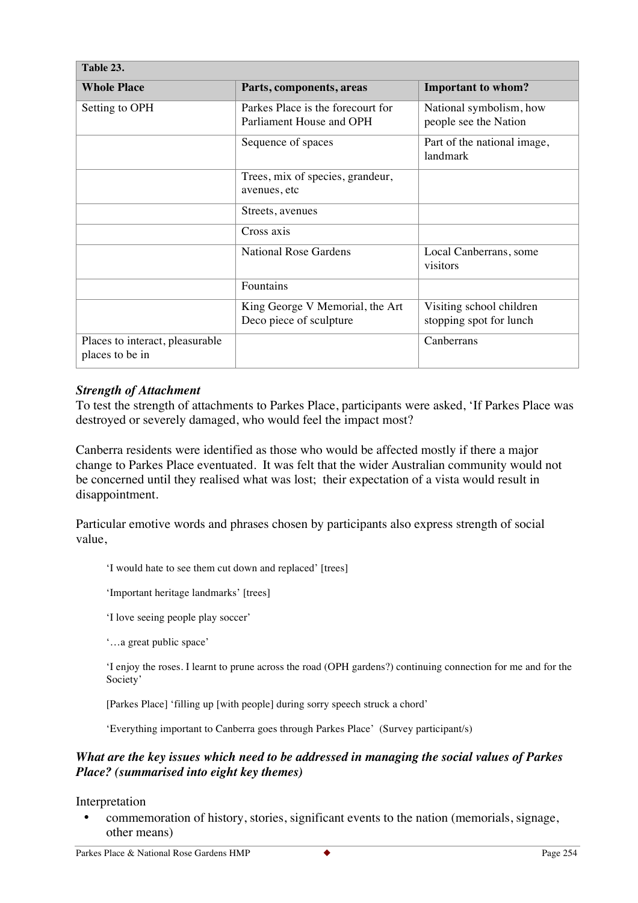| Table 23.                                          |                                                               |                                                     |  |
|----------------------------------------------------|---------------------------------------------------------------|-----------------------------------------------------|--|
| <b>Whole Place</b>                                 | Parts, components, areas                                      | <b>Important to whom?</b>                           |  |
| Setting to OPH                                     | Parkes Place is the forecourt for<br>Parliament House and OPH | National symbolism, how<br>people see the Nation    |  |
|                                                    | Sequence of spaces                                            | Part of the national image,<br>landmark             |  |
|                                                    | Trees, mix of species, grandeur,<br>avenues, etc              |                                                     |  |
|                                                    | Streets, avenues                                              |                                                     |  |
|                                                    | Cross axis                                                    |                                                     |  |
|                                                    | <b>National Rose Gardens</b>                                  | Local Canberrans, some<br>visitors                  |  |
|                                                    | Fountains                                                     |                                                     |  |
|                                                    | King George V Memorial, the Art<br>Deco piece of sculpture    | Visiting school children<br>stopping spot for lunch |  |
| Places to interact, pleasurable<br>places to be in |                                                               | Canberrans                                          |  |

# *Strength of Attachment*

To test the strength of attachments to Parkes Place, participants were asked, 'If Parkes Place was destroyed or severely damaged, who would feel the impact most?

Canberra residents were identified as those who would be affected mostly if there a major change to Parkes Place eventuated. It was felt that the wider Australian community would not be concerned until they realised what was lost; their expectation of a vista would result in disappointment.

Particular emotive words and phrases chosen by participants also express strength of social value,

'I would hate to see them cut down and replaced' [trees]

'Important heritage landmarks' [trees]

'I love seeing people play soccer'

'…a great public space'

'I enjoy the roses. I learnt to prune across the road (OPH gardens?) continuing connection for me and for the Society'

[Parkes Place] 'filling up [with people] during sorry speech struck a chord'

'Everything important to Canberra goes through Parkes Place' (Survey participant/s)

### *What are the key issues which need to be addressed in managing the social values of Parkes Place? (summarised into eight key themes)*

Interpretation

• commemoration of history, stories, significant events to the nation (memorials, signage, other means)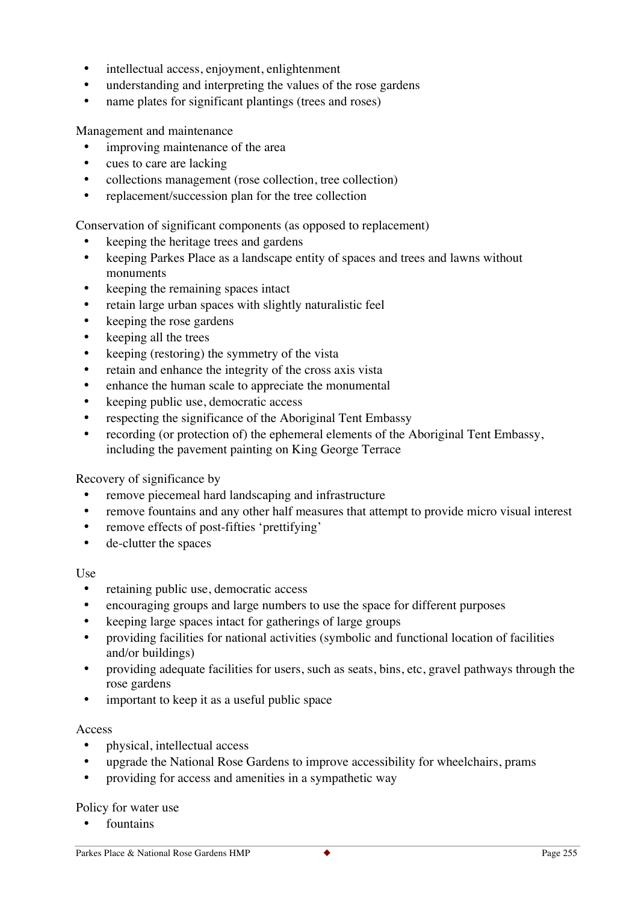- intellectual access, enjoyment, enlightenment
- understanding and interpreting the values of the rose gardens
- name plates for significant plantings (trees and roses)

Management and maintenance

- improving maintenance of the area
- cues to care are lacking
- collections management (rose collection, tree collection)
- replacement/succession plan for the tree collection

Conservation of significant components (as opposed to replacement)

- keeping the heritage trees and gardens
- keeping Parkes Place as a landscape entity of spaces and trees and lawns without monuments
- keeping the remaining spaces intact
- retain large urban spaces with slightly naturalistic feel
- keeping the rose gardens
- keeping all the trees
- keeping (restoring) the symmetry of the vista
- retain and enhance the integrity of the cross axis vista
- enhance the human scale to appreciate the monumental
- keeping public use, democratic access
- respecting the significance of the Aboriginal Tent Embassy
- recording (or protection of) the ephemeral elements of the Aboriginal Tent Embassy, including the pavement painting on King George Terrace

Recovery of significance by

- remove piecemeal hard landscaping and infrastructure
- remove fountains and any other half measures that attempt to provide micro visual interest
- remove effects of post-fifties 'prettifying'
- de-clutter the spaces

#### Use

- retaining public use, democratic access
- encouraging groups and large numbers to use the space for different purposes
- keeping large spaces intact for gatherings of large groups
- providing facilities for national activities (symbolic and functional location of facilities and/or buildings)
- providing adequate facilities for users, such as seats, bins, etc, gravel pathways through the rose gardens
- important to keep it as a useful public space

#### Access

- physical, intellectual access
- upgrade the National Rose Gardens to improve accessibility for wheelchairs, prams
- providing for access and amenities in a sympathetic way

#### Policy for water use

**fountains**